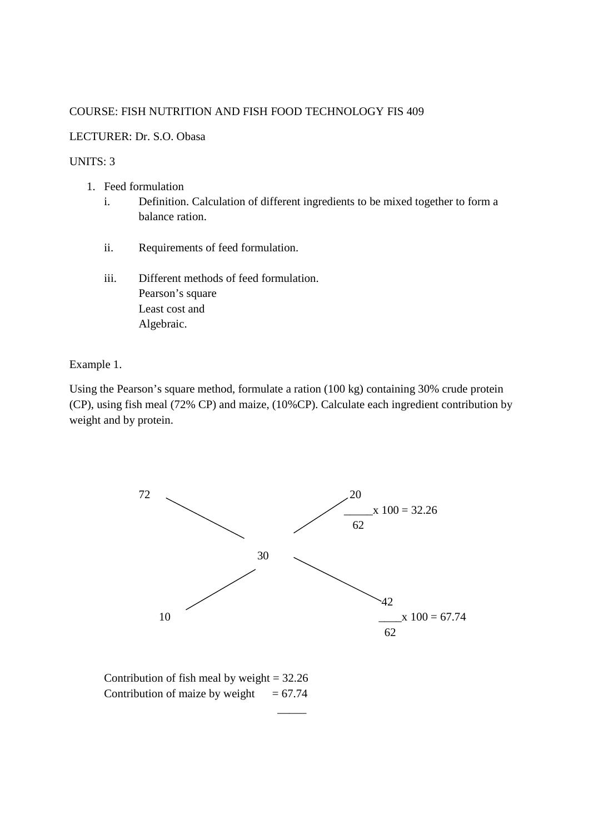## COURSE: FISH NUTRITION AND FISH FOOD TECHNOLOGY FIS 409

## LECTURER: Dr. S.O. Obasa

## UNITS: 3

- 1. Feed formulation
	- i. Definition. Calculation of different ingredients to be mixed together to form a balance ration.
	- ii. Requirements of feed formulation.
	- iii. Different methods of feed formulation. Pearson's square Least cost and Algebraic.

Example 1.

Using the Pearson's square method, formulate a ration (100 kg) containing 30% crude protein (CP), using fish meal (72% CP) and maize, (10%CP). Calculate each ingredient contribution by weight and by protein.



Contribution of fish meal by weight  $= 32.26$ Contribution of maize by weight  $= 67.74$ 

\_\_\_\_\_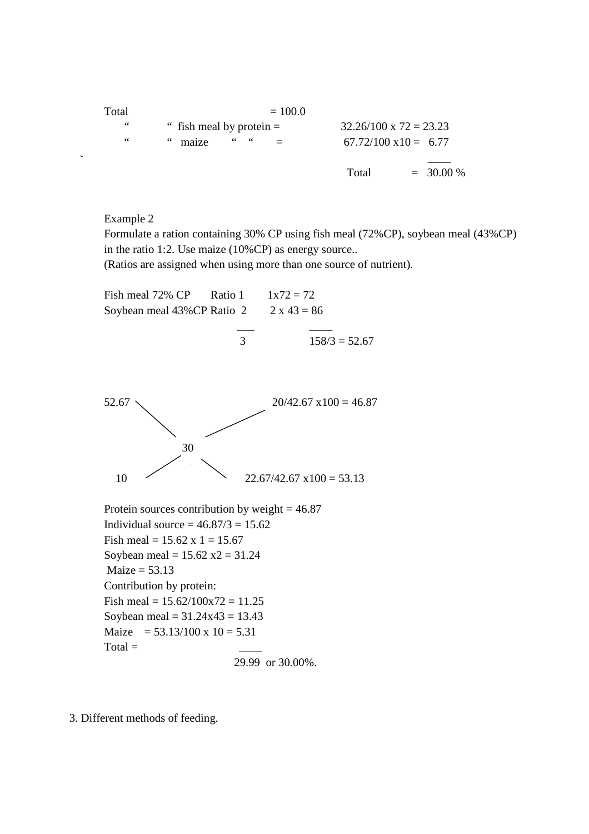| Total | $= 100.0$                                                   |       |                                |
|-------|-------------------------------------------------------------|-------|--------------------------------|
| 66    | $32.26/100 \times 72 = 23.23$<br>" fish meal by protein $=$ |       |                                |
| 66    | $66 - 66$<br>" maize                                        |       | $67.72/100 \text{ x}10 = 6.77$ |
|       |                                                             | Total | $= 30.00 %$                    |

Example 2

Formulate a ration containing 30% CP using fish meal (72%CP), soybean meal (43%CP) in the ratio 1:2. Use maize (10%CP) as energy source..

(Ratios are assigned when using more than one source of nutrient).



$$
29.99 \text{ or } 30.00\%.
$$

3. Different methods of feeding.